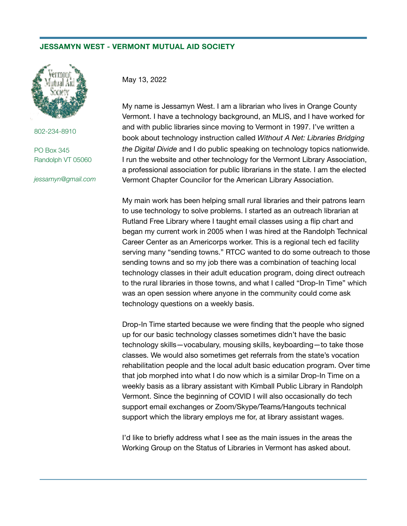## **JESSAMYN WEST - VERMONT MUTUAL AID SOCIETY**



802-234-8910

PO Box 345 Randolph VT 05060

*jessamyn@gmail.com*

May 13, 2022

My name is Jessamyn West. I am a librarian who lives in Orange County Vermont. I have a technology background, an MLIS, and I have worked for and with public libraries since moving to Vermont in 1997. I've written a book about technology instruction called *Without A Net: Libraries Bridging the Digital Divide* and I do public speaking on technology topics nationwide. I run the website and other technology for the Vermont Library Association, a professional association for public librarians in the state. I am the elected Vermont Chapter Councilor for the American Library Association.

My main work has been helping small rural libraries and their patrons learn to use technology to solve problems. I started as an outreach librarian at Rutland Free Library where I taught email classes using a flip chart and began my current work in 2005 when I was hired at the Randolph Technical Career Center as an Americorps worker. This is a regional tech ed facility serving many "sending towns." RTCC wanted to do some outreach to those sending towns and so my job there was a combination of teaching local technology classes in their adult education program, doing direct outreach to the rural libraries in those towns, and what I called "Drop-In Time" which was an open session where anyone in the community could come ask technology questions on a weekly basis.

Drop-In Time started because we were finding that the people who signed up for our basic technology classes sometimes didn't have the basic technology skills—vocabulary, mousing skills, keyboarding—to take those classes. We would also sometimes get referrals from the state's vocation rehabilitation people and the local adult basic education program. Over time that job morphed into what I do now which is a similar Drop-In Time on a weekly basis as a library assistant with Kimball Public Library in Randolph Vermont. Since the beginning of COVID I will also occasionally do tech support email exchanges or Zoom/Skype/Teams/Hangouts technical support which the library employs me for, at library assistant wages.

I'd like to briefly address what I see as the main issues in the areas the Working Group on the Status of Libraries in Vermont has asked about.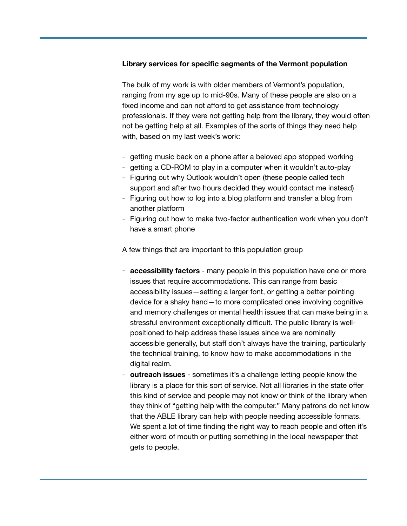## **Library services for specific segments of the Vermont population**

The bulk of my work is with older members of Vermont's population, ranging from my age up to mid-90s. Many of these people are also on a fixed income and can not afford to get assistance from technology professionals. If they were not getting help from the library, they would often not be getting help at all. Examples of the sorts of things they need help with, based on my last week's work:

- getting music back on a phone after a beloved app stopped working
- getting a CD-ROM to play in a computer when it wouldn't auto-play
- Figuring out why Outlook wouldn't open (these people called tech support and after two hours decided they would contact me instead)
- Figuring out how to log into a blog platform and transfer a blog from another platform
- Figuring out how to make two-factor authentication work when you don't have a smart phone

A few things that are important to this population group

- **accessibility factors** many people in this population have one or more issues that require accommodations. This can range from basic accessibility issues—setting a larger font, or getting a better pointing device for a shaky hand—to more complicated ones involving cognitive and memory challenges or mental health issues that can make being in a stressful environment exceptionally difficult. The public library is wellpositioned to help address these issues since we are nominally accessible generally, but staff don't always have the training, particularly the technical training, to know how to make accommodations in the digital realm.
- **outreach issues** sometimes it's a challenge letting people know the library is a place for this sort of service. Not all libraries in the state offer this kind of service and people may not know or think of the library when they think of "getting help with the computer." Many patrons do not know that the ABLE library can help with people needing accessible formats. We spent a lot of time finding the right way to reach people and often it's either word of mouth or putting something in the local newspaper that gets to people.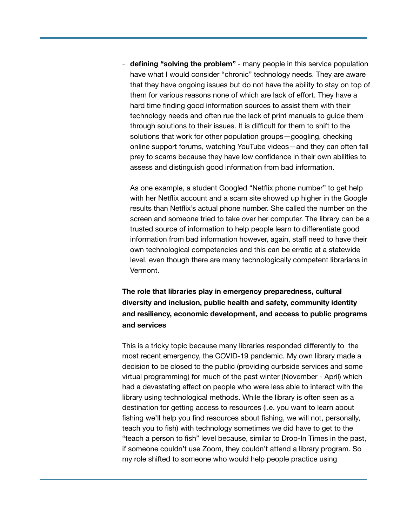- **defining "solving the problem"** - many people in this service population have what I would consider "chronic" technology needs. They are aware that they have ongoing issues but do not have the ability to stay on top of them for various reasons none of which are lack of effort. They have a hard time finding good information sources to assist them with their technology needs and often rue the lack of print manuals to guide them through solutions to their issues. It is difficult for them to shift to the solutions that work for other population groups—googling, checking online support forums, watching YouTube videos—and they can often fall prey to scams because they have low confidence in their own abilities to assess and distinguish good information from bad information.

As one example, a student Googled "Netflix phone number" to get help with her Netflix account and a scam site showed up higher in the Google results than Netflix's actual phone number. She called the number on the screen and someone tried to take over her computer. The library can be a trusted source of information to help people learn to differentiate good information from bad information however, again, staff need to have their own technological competencies and this can be erratic at a statewide level, even though there are many technologically competent librarians in Vermont.

**The role that libraries play in emergency preparedness, cultural diversity and inclusion, public health and safety, community identity and resiliency, economic development, and access to public programs and services** 

This is a tricky topic because many libraries responded differently to the most recent emergency, the COVID-19 pandemic. My own library made a decision to be closed to the public (providing curbside services and some virtual programming) for much of the past winter (November - April) which had a devastating effect on people who were less able to interact with the library using technological methods. While the library is often seen as a destination for getting access to resources (i.e. you want to learn about fishing we'll help you find resources about fishing, we will not, personally, teach you to fish) with technology sometimes we did have to get to the "teach a person to fish" level because, similar to Drop-In Times in the past, if someone couldn't use Zoom, they couldn't attend a library program. So my role shifted to someone who would help people practice using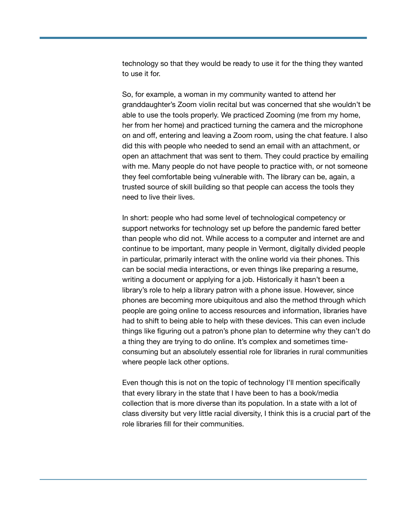technology so that they would be ready to use it for the thing they wanted to use it for.

So, for example, a woman in my community wanted to attend her granddaughter's Zoom violin recital but was concerned that she wouldn't be able to use the tools properly. We practiced Zooming (me from my home, her from her home) and practiced turning the camera and the microphone on and off, entering and leaving a Zoom room, using the chat feature. I also did this with people who needed to send an email with an attachment, or open an attachment that was sent to them. They could practice by emailing with me. Many people do not have people to practice with, or not someone they feel comfortable being vulnerable with. The library can be, again, a trusted source of skill building so that people can access the tools they need to live their lives.

In short: people who had some level of technological competency or support networks for technology set up before the pandemic fared better than people who did not. While access to a computer and internet are and continue to be important, many people in Vermont, digitally divided people in particular, primarily interact with the online world via their phones. This can be social media interactions, or even things like preparing a resume, writing a document or applying for a job. Historically it hasn't been a library's role to help a library patron with a phone issue. However, since phones are becoming more ubiquitous and also the method through which people are going online to access resources and information, libraries have had to shift to being able to help with these devices. This can even include things like figuring out a patron's phone plan to determine why they can't do a thing they are trying to do online. It's complex and sometimes timeconsuming but an absolutely essential role for libraries in rural communities where people lack other options.

Even though this is not on the topic of technology I'll mention specifically that every library in the state that I have been to has a book/media collection that is more diverse than its population. In a state with a lot of class diversity but very little racial diversity, I think this is a crucial part of the role libraries fill for their communities.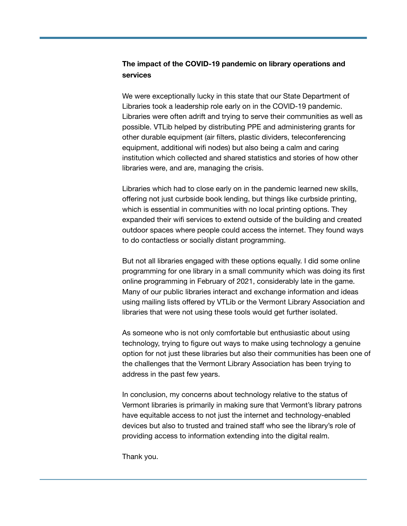## **The impact of the COVID-19 pandemic on library operations and services**

We were exceptionally lucky in this state that our State Department of Libraries took a leadership role early on in the COVID-19 pandemic. Libraries were often adrift and trying to serve their communities as well as possible. VTLib helped by distributing PPE and administering grants for other durable equipment (air filters, plastic dividers, teleconferencing equipment, additional wifi nodes) but also being a calm and caring institution which collected and shared statistics and stories of how other libraries were, and are, managing the crisis.

Libraries which had to close early on in the pandemic learned new skills, offering not just curbside book lending, but things like curbside printing, which is essential in communities with no local printing options. They expanded their wifi services to extend outside of the building and created outdoor spaces where people could access the internet. They found ways to do contactless or socially distant programming.

But not all libraries engaged with these options equally. I did some online programming for one library in a small community which was doing its first online programming in February of 2021, considerably late in the game. Many of our public libraries interact and exchange information and ideas using mailing lists offered by VTLib or the Vermont Library Association and libraries that were not using these tools would get further isolated.

As someone who is not only comfortable but enthusiastic about using technology, trying to figure out ways to make using technology a genuine option for not just these libraries but also their communities has been one of the challenges that the Vermont Library Association has been trying to address in the past few years.

In conclusion, my concerns about technology relative to the status of Vermont libraries is primarily in making sure that Vermont's library patrons have equitable access to not just the internet and technology-enabled devices but also to trusted and trained staff who see the library's role of providing access to information extending into the digital realm.

Thank you.